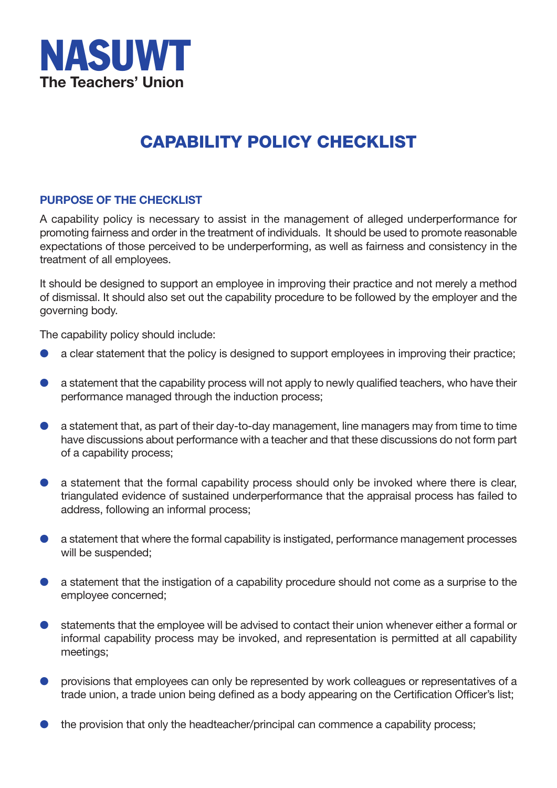

## **CAPABILITY POLICY CHECKLIST**

## **PURPOSE OF THE CHECKLIST**

 A capability policy is necessary to assist in the management of alleged underperformance for promoting fairness and order in the treatment of individuals. It should be used to promote reasonable expectations of those perceived to be underperforming, as well as fairness and consistency in the treatment of all employees.

It should be designed to support an employee in improving their practice and not merely a method of dismissal. It should also set out the capability procedure to be followed by the employer and the governing body.

The capability policy should include:

- **a** a clear statement that the policy is designed to support employees in improving their practice;
- **a** a statement that the capability process will not apply to newly qualified teachers, who have their performance managed through the induction process;
- $\bullet$  a statement that, as part of their day-to-day management, line managers may from time to time have discussions about performance with a teacher and that these discussions do not form part of a capability process;
- **a** a statement that the formal capability process should only be invoked where there is clear, triangulated evidence of sustained underperformance that the appraisal process has failed to address, following an informal process;
- **a** a statement that where the formal capability is instigated, performance management processes will be suspended;
- **a** a statement that the instigation of a capability procedure should not come as a surprise to the employee concerned;
- **e** statements that the employee will be advised to contact their union whenever either a formal or informal capability process may be invoked, and representation is permitted at all capability meetings;
- **•** provisions that employees can only be represented by work colleagues or representatives of a trade union, a trade union being defined as a body appearing on the Certification Officer's list;
- **the provision that only the headteacher/principal can commence a capability process;**